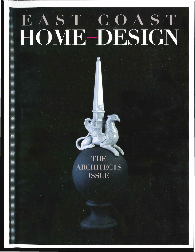## EAST COAST<br>HOME+DESIGN

 $\overline{\bf A}$ **R CHITECTS ISSUE**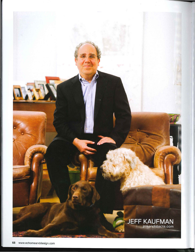